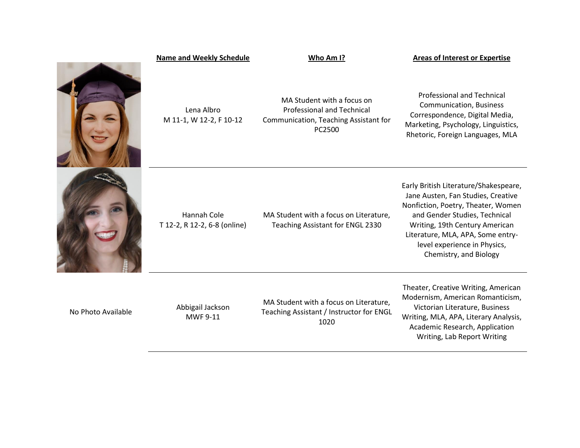|                    | <b>Name and Weekly Schedule</b>             | Who Am I?                                                                                                          | <b>Areas of Interest or Expertise</b>                                                                                                                                                                                                                                               |
|--------------------|---------------------------------------------|--------------------------------------------------------------------------------------------------------------------|-------------------------------------------------------------------------------------------------------------------------------------------------------------------------------------------------------------------------------------------------------------------------------------|
|                    | Lena Albro<br>M 11-1, W 12-2, F 10-12       | MA Student with a focus on<br><b>Professional and Technical</b><br>Communication, Teaching Assistant for<br>PC2500 | <b>Professional and Technical</b><br><b>Communication, Business</b><br>Correspondence, Digital Media,<br>Marketing, Psychology, Linguistics,<br>Rhetoric, Foreign Languages, MLA                                                                                                    |
|                    | Hannah Cole<br>T 12-2, R 12-2, 6-8 (online) | MA Student with a focus on Literature,<br>Teaching Assistant for ENGL 2330                                         | Early British Literature/Shakespeare,<br>Jane Austen, Fan Studies, Creative<br>Nonfiction, Poetry, Theater, Women<br>and Gender Studies, Technical<br>Writing, 19th Century American<br>Literature, MLA, APA, Some entry-<br>level experience in Physics,<br>Chemistry, and Biology |
| No Photo Available | Abbigail Jackson<br><b>MWF 9-11</b>         | MA Student with a focus on Literature,<br>Teaching Assistant / Instructor for ENGL<br>1020                         | Theater, Creative Writing, American<br>Modernism, American Romanticism,<br>Victorian Literature, Business<br>Writing, MLA, APA, Literary Analysis,<br>Academic Research, Application<br>Writing, Lab Report Writing                                                                 |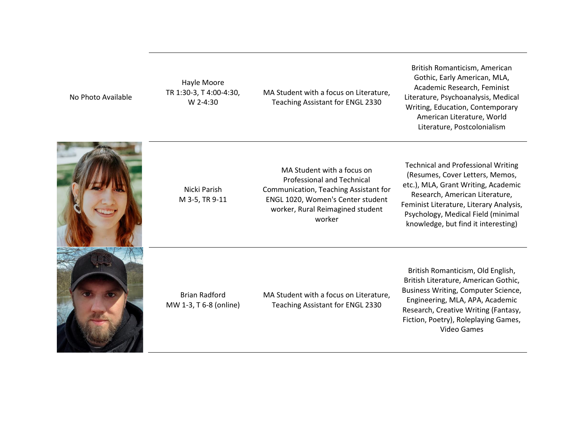No Photo Available

Hayle Moore TR 1:30-3, T 4:00-4:30, W 2-4:30

MA Student with a focus on Literature, Teaching Assistant for ENGL 2330

British Romanticism, American Gothic, Early American, MLA, Academic Research, Feminist Literature, Psychoanalysis, Medical Writing, Education, Contemporary American Literature, World Literature, Postcolonialism



Nicki Parish M 3-5, TR 9-11

MA Student with a focus on Professional and Technical Communication, Teaching Assistant for ENGL 1020, Women's Center student worker, Rural Reimagined student worker

Technical and Professional Writing (Resumes, Cover Letters, Memos, etc.), MLA, Grant Writing, Academic Research, American Literature, Feminist Literature, Literary Analysis, Psychology, Medical Field (minimal knowledge, but find it interesting)

Brian Radford MW 1-3, T 6-8 (online) MA Student with a focus on Literature, Teaching Assistant for ENGL 2330

British Romanticism, Old English, British Literature, American Gothic, Business Writing, Computer Science, Engineering, MLA, APA, Academic Research, Creative Writing (Fantasy, Fiction, Poetry), Roleplaying Games, Video Games